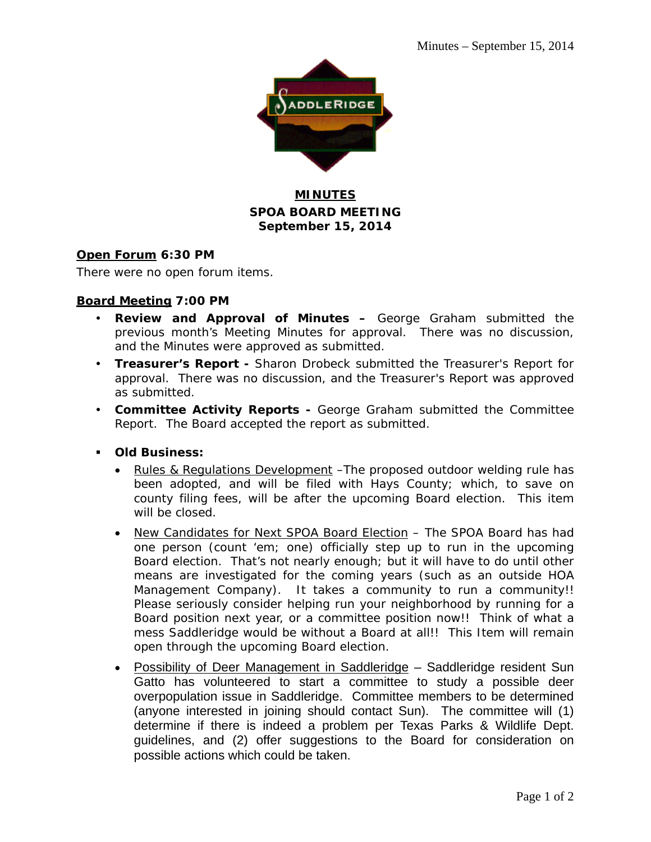

## **MINUTES SPOA BOARD MEETING September 15, 2014**

### **Open Forum 6:30 PM**

There were no open forum items.

### **Board Meeting 7:00 PM**

- **Review and Approval of Minutes –** George Graham submitted the previous month's Meeting Minutes for approval. There was no discussion, and the Minutes were approved as submitted.
- **Treasurer's Report** Sharon Drobeck submitted the Treasurer's Report for approval. There was no discussion, and the Treasurer's Report was approved as submitted.
- **Committee Activity Reports** George Graham submitted the Committee Report. The Board accepted the report as submitted.
- **Old Business:** 
	- Rules & Regulations Development –The proposed outdoor welding rule has been adopted, and will be filed with Hays County; which, to save on county filing fees, will be after the upcoming Board election. This item will be closed.
	- New Candidates for Next SPOA Board Election The SPOA Board has had one person (count 'em; one) officially step up to run in the upcoming Board election. That's not nearly enough; but it will have to do until other means are investigated for the coming years (such as an outside HOA Management Company). It takes a community to run a community!! Please seriously consider helping run your neighborhood by running for a Board position next year, or a committee position now!! Think of what a mess Saddleridge would be without a Board at all!! This Item will remain open through the upcoming Board election.
	- Possibility of Deer Management in Saddleridge Saddleridge resident Sun Gatto has volunteered to start a committee to study a possible deer overpopulation issue in Saddleridge. Committee members to be determined (anyone interested in joining should contact Sun). The committee will (1) determine if there is indeed a problem per Texas Parks & Wildlife Dept. guidelines, and (2) offer suggestions to the Board for consideration on possible actions which could be taken.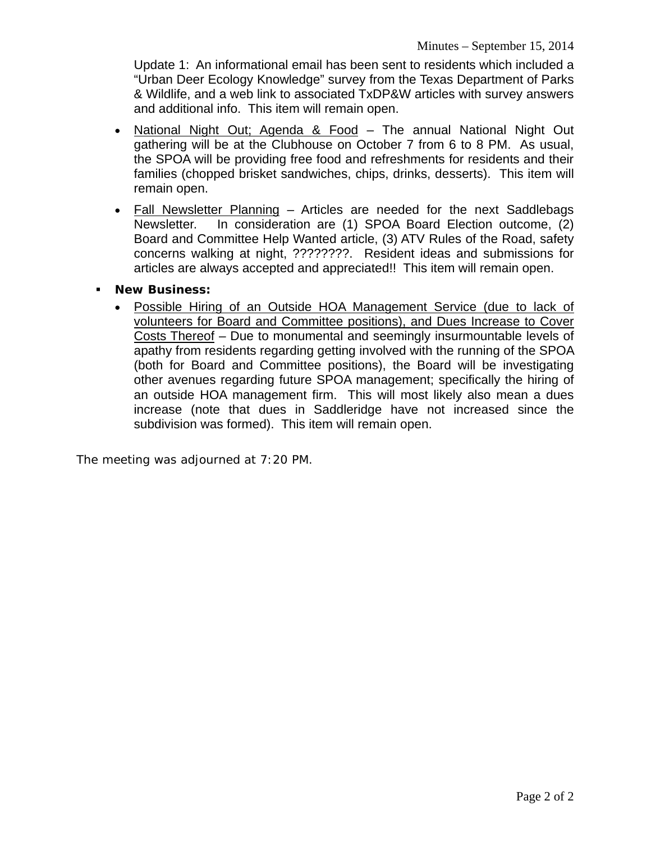Update 1: An informational email has been sent to residents which included a "Urban Deer Ecology Knowledge" survey from the Texas Department of Parks & Wildlife, and a web link to associated TxDP&W articles with survey answers and additional info. This item will remain open.

- National Night Out; Agenda & Food The annual National Night Out gathering will be at the Clubhouse on October 7 from 6 to 8 PM. As usual, the SPOA will be providing free food and refreshments for residents and their families (chopped brisket sandwiches, chips, drinks, desserts). This item will remain open.
- Fall Newsletter Planning Articles are needed for the next Saddlebags Newsletter. In consideration are (1) SPOA Board Election outcome, (2) Board and Committee Help Wanted article, (3) ATV Rules of the Road, safety concerns walking at night, ????????. Resident ideas and submissions for articles are always accepted and appreciated!! This item will remain open.
- **New Business:**
	- Possible Hiring of an Outside HOA Management Service (due to lack of volunteers for Board and Committee positions), and Dues Increase to Cover Costs Thereof – Due to monumental and seemingly insurmountable levels of apathy from residents regarding getting involved with the running of the SPOA (both for Board and Committee positions), the Board will be investigating other avenues regarding future SPOA management; specifically the hiring of an outside HOA management firm. This will most likely also mean a dues increase (note that dues in Saddleridge have not increased since the subdivision was formed). This item will remain open.

The meeting was adjourned at 7:20 PM.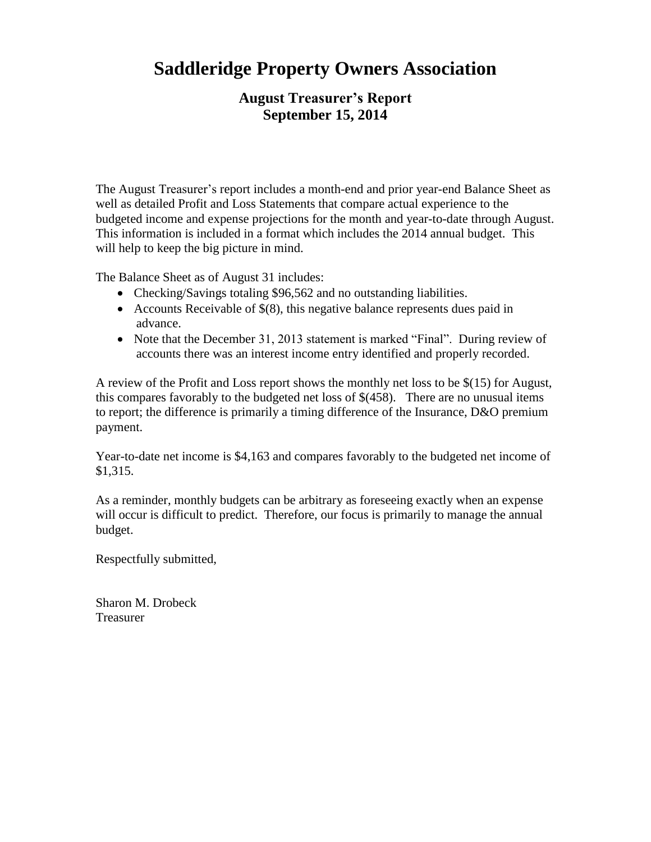# **Saddleridge Property Owners Association**

# **August Treasurer's Report September 15, 2014**

The August Treasurer's report includes a month-end and prior year-end Balance Sheet as well as detailed Profit and Loss Statements that compare actual experience to the budgeted income and expense projections for the month and year-to-date through August. This information is included in a format which includes the 2014 annual budget. This will help to keep the big picture in mind.

The Balance Sheet as of August 31 includes:

- Checking/Savings totaling \$96,562 and no outstanding liabilities.
- Accounts Receivable of  $$(8)$ , this negative balance represents dues paid in advance.
- Note that the December 31, 2013 statement is marked "Final". During review of accounts there was an interest income entry identified and properly recorded.

A review of the Profit and Loss report shows the monthly net loss to be \$(15) for August, this compares favorably to the budgeted net loss of \$(458). There are no unusual items to report; the difference is primarily a timing difference of the Insurance, D&O premium payment.

Year-to-date net income is \$4,163 and compares favorably to the budgeted net income of \$1,315.

As a reminder, monthly budgets can be arbitrary as foreseeing exactly when an expense will occur is difficult to predict. Therefore, our focus is primarily to manage the annual budget.

Respectfully submitted,

Sharon M. Drobeck Treasurer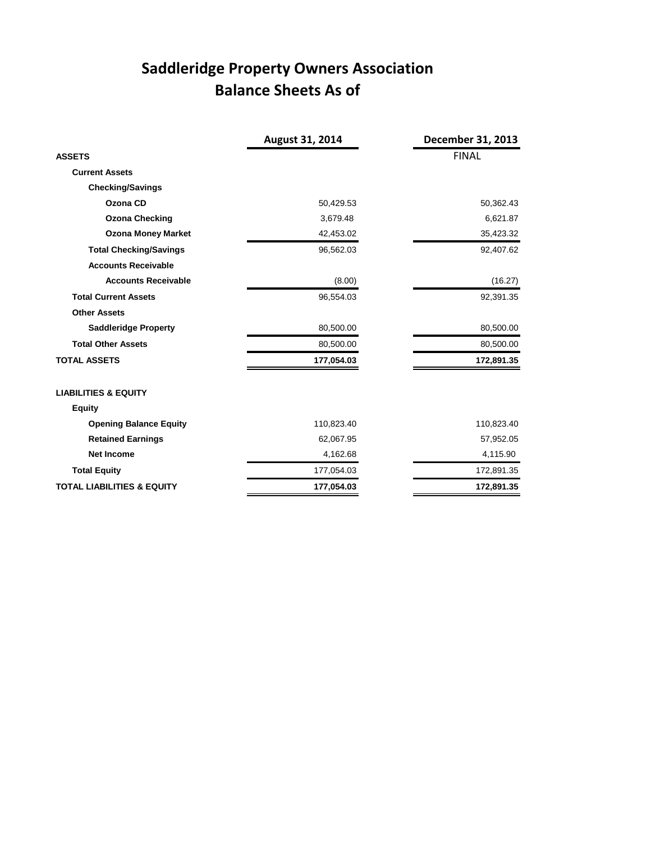# **Saddleridge Property Owners Association Balance Sheets As of**

|                                       | August 31, 2014 | December 31, 2013 |
|---------------------------------------|-----------------|-------------------|
| <b>ASSETS</b>                         |                 | <b>FINAL</b>      |
| <b>Current Assets</b>                 |                 |                   |
| <b>Checking/Savings</b>               |                 |                   |
| Ozona CD                              | 50,429.53       | 50,362.43         |
| <b>Ozona Checking</b>                 | 3,679.48        | 6,621.87          |
| <b>Ozona Money Market</b>             | 42,453.02       | 35,423.32         |
| <b>Total Checking/Savings</b>         | 96,562.03       | 92,407.62         |
| <b>Accounts Receivable</b>            |                 |                   |
| <b>Accounts Receivable</b>            | (8.00)          | (16.27)           |
| <b>Total Current Assets</b>           | 96,554.03       | 92,391.35         |
| <b>Other Assets</b>                   |                 |                   |
| <b>Saddleridge Property</b>           | 80,500.00       | 80,500.00         |
| <b>Total Other Assets</b>             | 80,500.00       | 80,500.00         |
| <b>TOTAL ASSETS</b>                   | 177,054.03      | 172,891.35        |
| <b>LIABILITIES &amp; EQUITY</b>       |                 |                   |
| <b>Equity</b>                         |                 |                   |
| <b>Opening Balance Equity</b>         | 110,823.40      | 110,823.40        |
| <b>Retained Earnings</b>              | 62,067.95       | 57,952.05         |
| <b>Net Income</b>                     | 4,162.68        | 4,115.90          |
| <b>Total Equity</b>                   | 177,054.03      | 172,891.35        |
| <b>TOTAL LIABILITIES &amp; EQUITY</b> | 177,054.03      | 172,891.35        |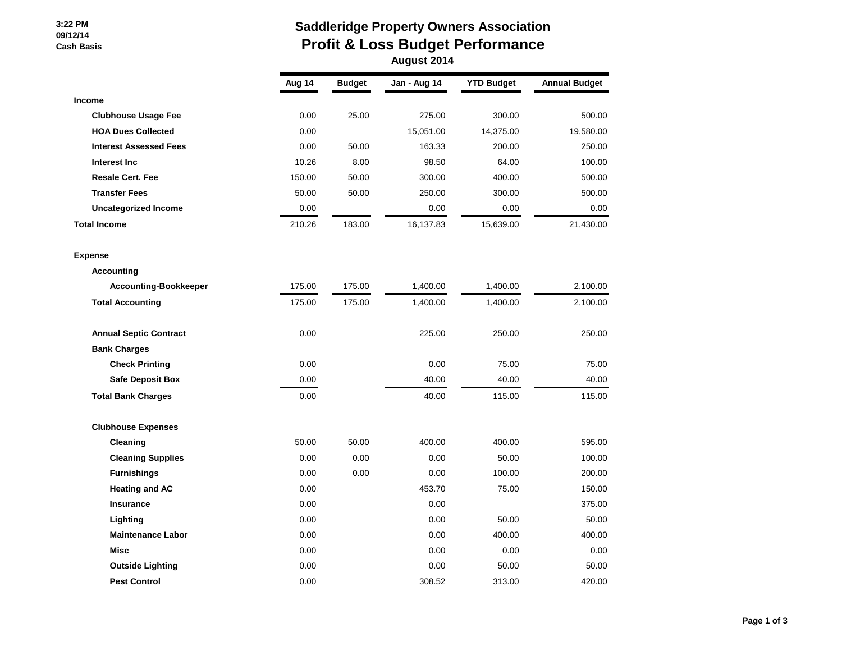#### **3:22 PM 09/12/14 Cash Basis**

# **Saddleridge Property Owners Association Profit & Loss Budget Performance**

| August 2014 |  |
|-------------|--|
|-------------|--|

|                               | Aug 14 | <b>Budget</b> | Jan - Aug 14 | <b>YTD Budget</b> | <b>Annual Budget</b> |
|-------------------------------|--------|---------------|--------------|-------------------|----------------------|
| Income                        |        |               |              |                   |                      |
| <b>Clubhouse Usage Fee</b>    | 0.00   | 25.00         | 275.00       | 300.00            | 500.00               |
| <b>HOA Dues Collected</b>     | 0.00   |               | 15,051.00    | 14,375.00         | 19,580.00            |
| <b>Interest Assessed Fees</b> | 0.00   | 50.00         | 163.33       | 200.00            | 250.00               |
| Interest Inc                  | 10.26  | 8.00          | 98.50        | 64.00             | 100.00               |
| <b>Resale Cert. Fee</b>       | 150.00 | 50.00         | 300.00       | 400.00            | 500.00               |
| <b>Transfer Fees</b>          | 50.00  | 50.00         | 250.00       | 300.00            | 500.00               |
| <b>Uncategorized Income</b>   | 0.00   |               | 0.00         | 0.00              | 0.00                 |
| <b>Total Income</b>           | 210.26 | 183.00        | 16,137.83    | 15,639.00         | 21,430.00            |
| <b>Expense</b>                |        |               |              |                   |                      |
| <b>Accounting</b>             |        |               |              |                   |                      |
| <b>Accounting-Bookkeeper</b>  | 175.00 | 175.00        | 1,400.00     | 1,400.00          | 2,100.00             |
| <b>Total Accounting</b>       | 175.00 | 175.00        | 1,400.00     | 1,400.00          | 2,100.00             |
| <b>Annual Septic Contract</b> | 0.00   |               | 225.00       | 250.00            | 250.00               |
| <b>Bank Charges</b>           |        |               |              |                   |                      |
| <b>Check Printing</b>         | 0.00   |               | 0.00         | 75.00             | 75.00                |
| <b>Safe Deposit Box</b>       | 0.00   |               | 40.00        | 40.00             | 40.00                |
| <b>Total Bank Charges</b>     | 0.00   |               | 40.00        | 115.00            | 115.00               |
| <b>Clubhouse Expenses</b>     |        |               |              |                   |                      |
| Cleaning                      | 50.00  | 50.00         | 400.00       | 400.00            | 595.00               |
| <b>Cleaning Supplies</b>      | 0.00   | 0.00          | 0.00         | 50.00             | 100.00               |
| <b>Furnishings</b>            | 0.00   | 0.00          | 0.00         | 100.00            | 200.00               |
| <b>Heating and AC</b>         | 0.00   |               | 453.70       | 75.00             | 150.00               |
| Insurance                     | 0.00   |               | 0.00         |                   | 375.00               |
| Lighting                      | 0.00   |               | 0.00         | 50.00             | 50.00                |
| <b>Maintenance Labor</b>      | 0.00   |               | 0.00         | 400.00            | 400.00               |
| Misc                          | 0.00   |               | 0.00         | 0.00              | 0.00                 |
| <b>Outside Lighting</b>       | 0.00   |               | 0.00         | 50.00             | 50.00                |
| <b>Pest Control</b>           | 0.00   |               | 308.52       | 313.00            | 420.00               |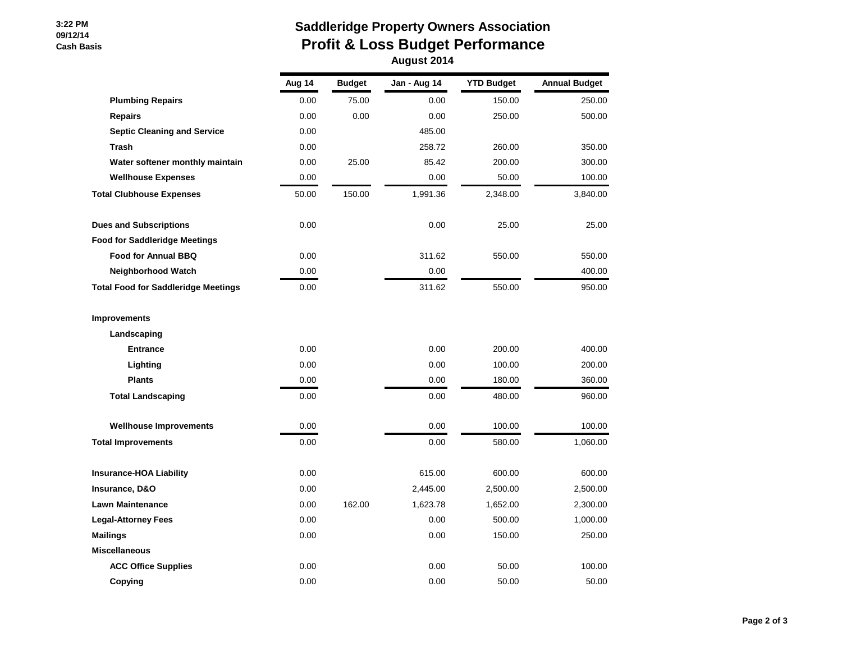#### **3:22 PM 09/12/14 Cash Basis**

## **Saddleridge Property Owners Association Profit & Loss Budget Performance August 2014**

|                                            | Aug 14 | <b>Budget</b> | Jan - Aug 14 | <b>YTD Budget</b> | <b>Annual Budget</b> |
|--------------------------------------------|--------|---------------|--------------|-------------------|----------------------|
| <b>Plumbing Repairs</b>                    | 0.00   | 75.00         | 0.00         | 150.00            | 250.00               |
| <b>Repairs</b>                             | 0.00   | 0.00          | 0.00         | 250.00            | 500.00               |
| <b>Septic Cleaning and Service</b>         | 0.00   |               | 485.00       |                   |                      |
| <b>Trash</b>                               | 0.00   |               | 258.72       | 260.00            | 350.00               |
| Water softener monthly maintain            | 0.00   | 25.00         | 85.42        | 200.00            | 300.00               |
| <b>Wellhouse Expenses</b>                  | 0.00   |               | 0.00         | 50.00             | 100.00               |
| <b>Total Clubhouse Expenses</b>            | 50.00  | 150.00        | 1,991.36     | 2,348.00          | 3,840.00             |
| <b>Dues and Subscriptions</b>              | 0.00   |               | 0.00         | 25.00             | 25.00                |
| <b>Food for Saddleridge Meetings</b>       |        |               |              |                   |                      |
| <b>Food for Annual BBQ</b>                 | 0.00   |               | 311.62       | 550.00            | 550.00               |
| <b>Neighborhood Watch</b>                  | 0.00   |               | 0.00         |                   | 400.00               |
| <b>Total Food for Saddleridge Meetings</b> | 0.00   |               | 311.62       | 550.00            | 950.00               |
| <b>Improvements</b>                        |        |               |              |                   |                      |
| Landscaping                                |        |               |              |                   |                      |
| <b>Entrance</b>                            | 0.00   |               | 0.00         | 200.00            | 400.00               |
| Lighting                                   | 0.00   |               | 0.00         | 100.00            | 200.00               |
| <b>Plants</b>                              | 0.00   |               | 0.00         | 180.00            | 360.00               |
| <b>Total Landscaping</b>                   | 0.00   |               | 0.00         | 480.00            | 960.00               |
| <b>Wellhouse Improvements</b>              | 0.00   |               | 0.00         | 100.00            | 100.00               |
| <b>Total Improvements</b>                  | 0.00   |               | 0.00         | 580.00            | 1,060.00             |
| <b>Insurance-HOA Liability</b>             | 0.00   |               | 615.00       | 600.00            | 600.00               |
| Insurance, D&O                             | 0.00   |               | 2,445.00     | 2,500.00          | 2,500.00             |
| <b>Lawn Maintenance</b>                    | 0.00   | 162.00        | 1,623.78     | 1,652.00          | 2,300.00             |
| <b>Legal-Attorney Fees</b>                 | 0.00   |               | 0.00         | 500.00            | 1,000.00             |
| <b>Mailings</b>                            | 0.00   |               | 0.00         | 150.00            | 250.00               |
| <b>Miscellaneous</b>                       |        |               |              |                   |                      |
| <b>ACC Office Supplies</b>                 | 0.00   |               | 0.00         | 50.00             | 100.00               |
| Copying                                    | 0.00   |               | 0.00         | 50.00             | 50.00                |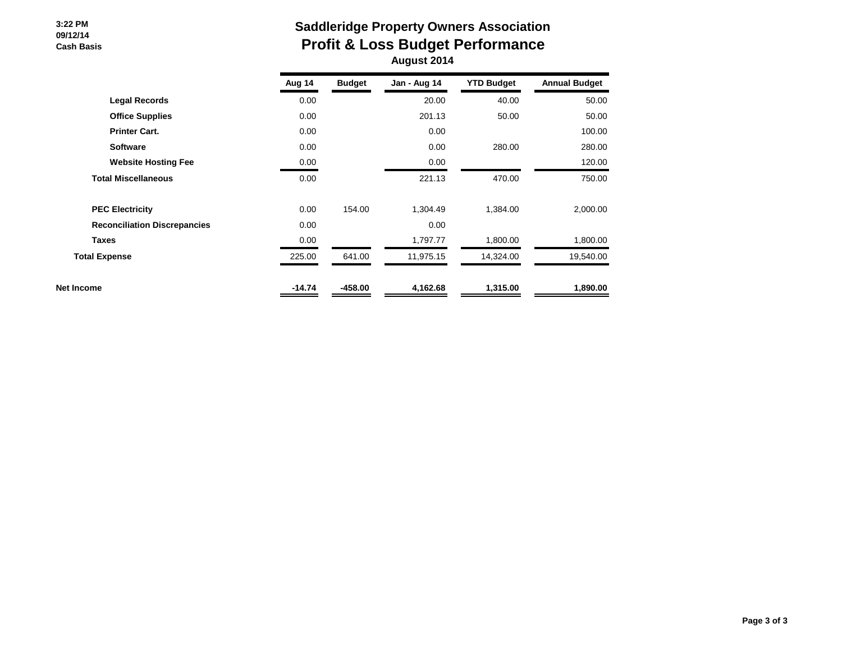#### **3:22 PM 09/12/14 Cash Basis**

## **Saddleridge Property Owners Association Profit & Loss Budget Performance August 2014**

|                                     | Aug 14   | <b>Budget</b> | Jan - Aug 14 | <b>YTD Budget</b> | <b>Annual Budget</b> |
|-------------------------------------|----------|---------------|--------------|-------------------|----------------------|
| <b>Legal Records</b>                | 0.00     |               | 20.00        | 40.00             | 50.00                |
| <b>Office Supplies</b>              | 0.00     |               | 201.13       | 50.00             | 50.00                |
| <b>Printer Cart.</b>                | 0.00     |               | 0.00         |                   | 100.00               |
| <b>Software</b>                     | 0.00     |               | 0.00         | 280.00            | 280.00               |
| <b>Website Hosting Fee</b>          | 0.00     |               | 0.00         |                   | 120.00               |
| <b>Total Miscellaneous</b>          | 0.00     |               | 221.13       | 470.00            | 750.00               |
| <b>PEC Electricity</b>              | 0.00     | 154.00        | 1,304.49     | 1,384.00          | 2,000.00             |
| <b>Reconciliation Discrepancies</b> | 0.00     |               | 0.00         |                   |                      |
| <b>Taxes</b>                        | 0.00     |               | 1,797.77     | 1,800.00          | 1,800.00             |
| <b>Total Expense</b>                | 225.00   | 641.00        | 11,975.15    | 14,324.00         | 19,540.00            |
| Net Income                          | $-14.74$ | $-458.00$     | 4,162.68     | 1,315.00          | 1,890.00             |